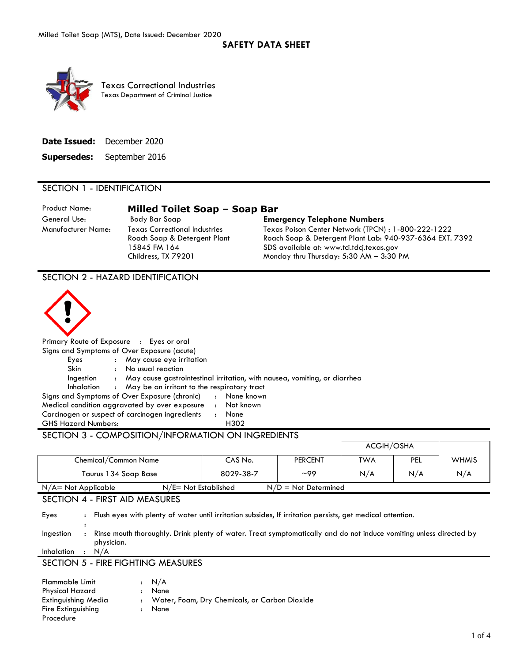### **SAFETY DATA SHEET**



Texas Correctional Industries Texas Department of Criminal Justice

| <b>Date Issued:</b> December 2020 |
|-----------------------------------|
| <b>Supersedes:</b> September 2016 |

#### SECTION 1 - IDENTIFICATION

Product Name: **Milled Toilet Soap – Soap Bar**

Manufacturer Name: Texas Correctional Industries Roach Soap & Detergent Plant 15845 FM 164 Childress, TX 79201

# General Use: Body Bar Soap **Emergency Telephone Numbers**

Texas Poison Center Network (TPCN) : 1-800-222-1222 Roach Soap & Detergent Plant Lab: 940-937-6364 EXT. 7392 SDS available at: www.tci.tdcj.texas.gov Monday thru Thursday: 5:30 AM – 3:30 PM

SECTION 2 - HAZARD IDENTIFICATION



Primary Route of Exposure : Eyes or oral

|                                                     |              | Signs and Symptoms of Over Exposure (acute)     |              |                                                                           |  |
|-----------------------------------------------------|--------------|-------------------------------------------------|--------------|---------------------------------------------------------------------------|--|
| Eyes                                                |              | : May cause eye irritation                      |              |                                                                           |  |
| <b>Skin</b>                                         |              | No usual reaction                               |              |                                                                           |  |
| Ingestion                                           | $\mathbf{r}$ |                                                 |              | May cause gastrointestinal irritation, with nausea, vomiting, or diarrhea |  |
| Inhalation                                          |              | : May be an irritant to the respiratory tract   |              |                                                                           |  |
|                                                     |              | Signs and Symptoms of Over Exposure (chronic)   |              | : None known                                                              |  |
|                                                     |              | Medical condition aggravated by over exposure   | $\mathbf{r}$ | Not known                                                                 |  |
|                                                     |              | Carcinogen or suspect of carcinogen ingredients | $\cdot$      | None                                                                      |  |
| <b>GHS Hazard Numbers:</b>                          |              |                                                 |              | H302                                                                      |  |
| SECTION 3 - COMPOSITION /INFORMATION ON INGREDIENTS |              |                                                 |              |                                                                           |  |

### SECTION 3 - COMPOSITION/INFORMATION ON INGREDIENTS

|                        |                         |                        | ACGIH/OSHA |     |              |
|------------------------|-------------------------|------------------------|------------|-----|--------------|
| Chemical/Common Name   | CAS No.                 | <b>PERCENT</b>         | <b>TWA</b> | PEL | <b>WHMIS</b> |
| Taurus 134 Soap Base   | 8029-38-7               | $\sim$ 99              | N/A        | N/A | N/A          |
| $N/A = Not Applicable$ | $N/E = Not$ Established | $N/D = Not$ Determined |            |     |              |

# SECTION 4 - FIRST AID MEASURES

Eyes : Flush eyes with plenty of water until irritation subsides, If irritation persists, get medical attention.

: Ingestion : Rinse mouth thoroughly. Drink plenty of water. Treat symptomatically and do not induce vomiting unless directed by physician.

Inhalation : N/A

## SECTION 5 - FIRE FIGHTING MEASURES

| <b>Flammable Limit</b> |              | : N/A                                           |
|------------------------|--------------|-------------------------------------------------|
| Physical Hazard        | $\mathbf{r}$ | None                                            |
| Extinguishing Media    |              | : Water, Foam, Dry Chemicals, or Carbon Dioxide |
| Fire Extinguishing     |              | : None                                          |
| Procedure              |              |                                                 |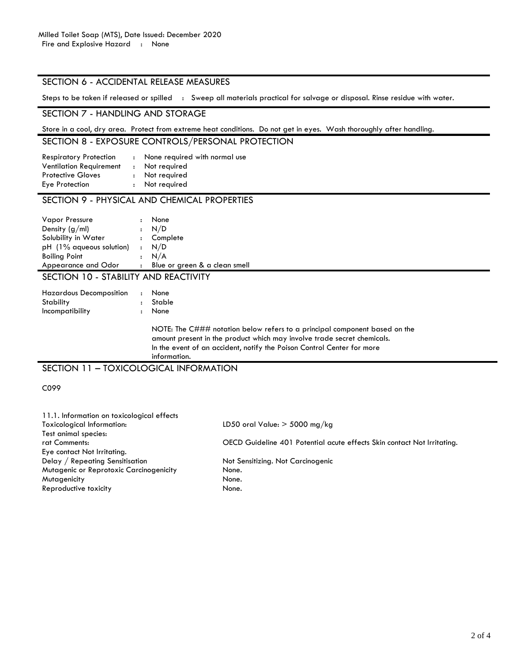#### SECTION 6 - ACCIDENTAL RELEASE MEASURES

Steps to be taken if released or spilled : Sweep all materials practical for salvage or disposal. Rinse residue with water.

#### SECTION 7 - HANDLING AND STORAGE

Store in a cool, dry area. Protect from extreme heat conditions. Do not get in eyes. Wash thoroughly after handling.

### SECTION 8 - EXPOSURE CONTROLS/PERSONAL PROTECTION

| <b>Respiratory Protection</b>  | $\mathbf{r}$ | None required with normal use |
|--------------------------------|--------------|-------------------------------|
| <b>Ventilation Requirement</b> |              | : Not required                |
| <b>Protective Gloves</b>       |              | : Not required                |
| Eye Protection                 |              | : Not required                |
|                                |              |                               |

# SECTION 9 - PHYSICAL AND CHEMICAL PROPERTIES

| <b>Vapor Pressure</b>      | $\ddot{\phantom{a}}$ | None                          |
|----------------------------|----------------------|-------------------------------|
| Density $(g/ml)$           |                      | : N/D                         |
| Solubility in Water        |                      | : Complete                    |
| $pH$ (1% aqueous solution) |                      | $\cdot$ N/D                   |
| <b>Boiling Point</b>       |                      | : N/A                         |
| Appearance and Odor        |                      | Blue or green & a clean smell |

# SECTION 10 - STABILITY AND REACTIVITY

| <b>Hazardous Decomposition</b><br>Stability | $\ddot{\cdot}$ | <b>None</b><br>Stable                                                                                                                                                                                                                           |
|---------------------------------------------|----------------|-------------------------------------------------------------------------------------------------------------------------------------------------------------------------------------------------------------------------------------------------|
| Incompatibility                             |                | None                                                                                                                                                                                                                                            |
|                                             |                | NOTE: The C### notation below refers to a principal component based on the<br>amount present in the product which may involve trade secret chemicals.<br>In the event of an accident, notify the Poison Control Center for more<br>information. |
|                                             |                |                                                                                                                                                                                                                                                 |

SECTION 11 – TOXICOLOGICAL INFORMATION

#### C099

11.1. Information on toxicological effects Toxicological Information: LD50 oral Value: > 5000 mg/kg Test animal species: rat Comments: OECD Guideline 401 Potential acute effects Skin contact Not Irritating. Eye contact Not Irritating. Delay / Repeating Sensitisation Not Sensitizing. Not Carcinogenic Mutagenic or Reprotoxic Carcinogenicity None. Mutagenicity None. Reproductive toxicity None.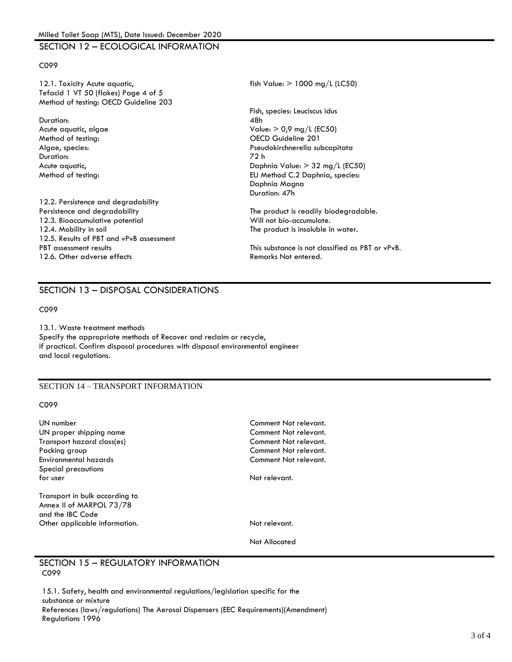### SECTION 12 – ECOLOGICAL INFORMATION

#### C099

12.1. Toxicity Acute aquatic, the same state of the state of the state of the state of the state of the state of the state of the state of the state of the state of the state of the state of the state of the state of the s Tefacid 1 VT 50 (flakes) Page 4 of 5 Method of testing: OECD Guideline 203

Duration: 48h Method of testing: OECD Guideline 201 Duration: 72 h

12.2. Persistence and degradability Persistence and degradability The product is readily biodegradable. 12.3. Bioaccumulative potential and Will not bio-accumulate. 12.4. Mobility in soil The product is insoluble in water. 12.5. Results of PBT and vPvB assessment<br>PBT assessment results 12.6. Other adverse effects and the control of the Remarks Not entered.

Fish, species: Leuciscus idus Acute aquatic, algae Value: > 0,9 mg/L (EC50) Algae, species: Pseudokirchnerella subcapitata Acute aquatic, **Daphnia Value: > 32 mg/L (EC50)** Method of testing: EU Method C.2 Daphnia, species: Daphnia Magna Duration: 47h

This substance is not classified as PBT or vPvB.

### SECTION 13 – DISPOSAL CONSIDERATIONS

C099

13.1. Waste treatment methods Specify the appropriate methods of Recover and reclaim or recycle, if practical. Confirm disposal procedures with disposal environmental engineer and local regulations.

#### SECTION 14 – TRANSPORT INFORMATION

C099

| UN number<br>UN proper shipping name<br>Transport hazard class(es)<br>Packing group<br>Environmental hazards | Comment Not relevant.<br>Comment Not relevant.<br>Comment Not relevant.<br>Comment Not relevant.<br>Comment Not relevant. |
|--------------------------------------------------------------------------------------------------------------|---------------------------------------------------------------------------------------------------------------------------|
| Special precautions<br>for user                                                                              | Not relevant.                                                                                                             |
| Transport in bulk according to<br>Annex II of MARPOL 73/78<br>and the IBC Code                               |                                                                                                                           |
| Other applicable information.                                                                                | Not relevant.                                                                                                             |
|                                                                                                              | Not Allocated                                                                                                             |

#### SECTION 15 – REGULATORY INFORMATION C099

15.1. Safety, health and environmental regulations/legislation specific for the substance or mixture References (laws/regulations) The Aerosol Dispensers (EEC Requirements)(Amendment) Regulations 1996